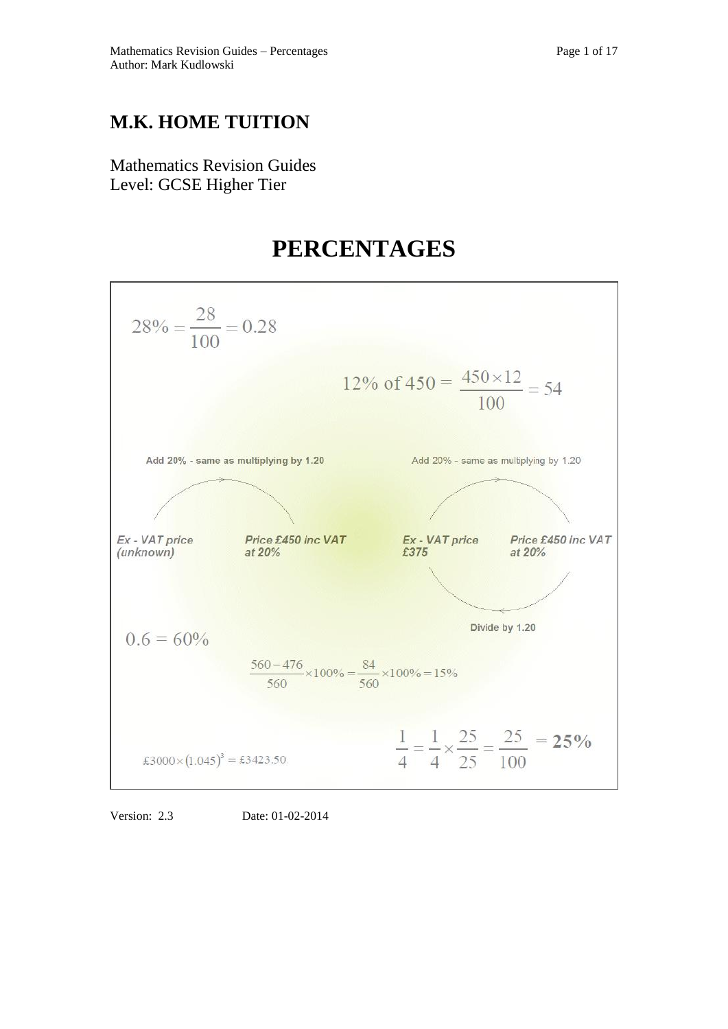## **M.K. HOME TUITION**

Mathematics Revision Guides Level: GCSE Higher Tier

# **PERCENTAGES**



Version: 2.3 Date: 01-02-2014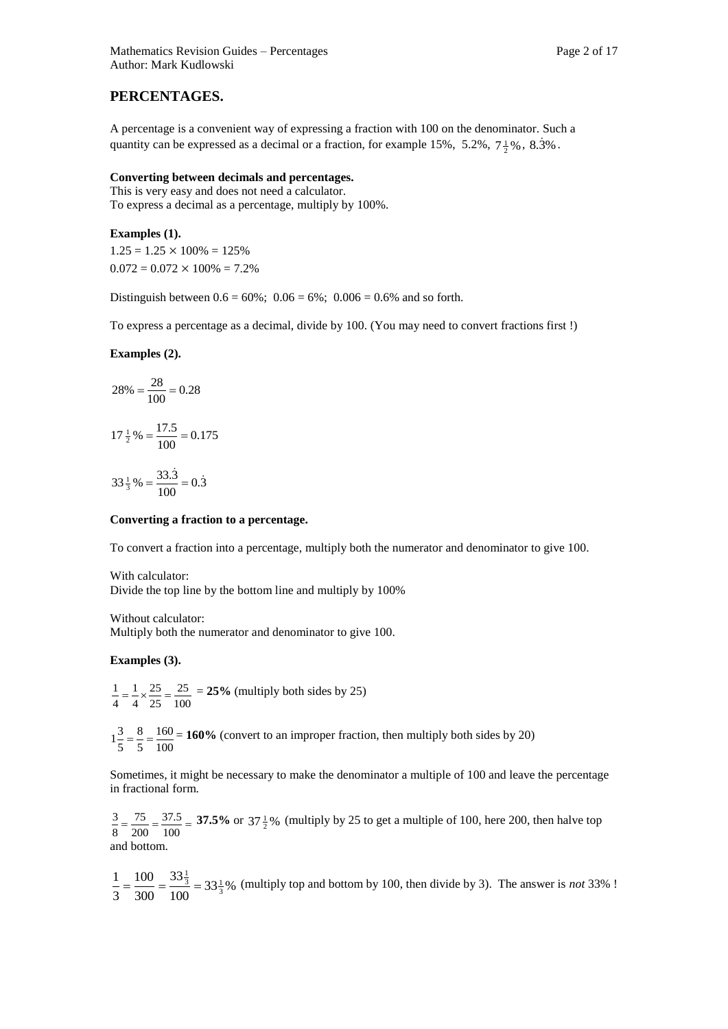## **PERCENTAGES.**

A percentage is a convenient way of expressing a fraction with 100 on the denominator. Such a quantity can be expressed as a decimal or a fraction, for example 15%, 5.2%,  $7\frac{1}{2}\%$ , 8.3%.

#### **Converting between decimals and percentages.**

This is very easy and does not need a calculator. To express a decimal as a percentage, multiply by 100%.

**Examples (1).**  $1.25 = 1.25 \times 100\% = 125\%$ 

 $0.072 = 0.072 \times 100\% = 7.2\%$ 

Distinguish between  $0.6 = 60\%$ ;  $0.06 = 6\%$ ;  $0.006 = 0.6\%$  and so forth.

To express a percentage as a decimal, divide by 100. (You may need to convert fractions first !)

**Examples (2).**

$$
28\% = \frac{28}{100} = 0.28
$$

$$
17\frac{1}{2}\% = \frac{17.5}{100} = 0.175
$$

$$
33\frac{1}{3}\% = \frac{33.\dot{3}}{100} = 0.\dot{3}
$$

#### **Converting a fraction to a percentage.**

To convert a fraction into a percentage, multiply both the numerator and denominator to give 100.

With calculator: Divide the top line by the bottom line and multiply by 100%

Without calculator: Multiply both the numerator and denominator to give 100.

#### **Examples (3).**

100 25 25 25 4 1 4  $\frac{1}{1} = \frac{1}{1} \times \frac{25}{25} = \frac{25}{100} = 25\%$  (multiply both sides by 25)

100 160 5 8 5  $1\frac{3}{7} = \frac{8}{7} = \frac{160}{100} = 160\%$  (convert to an improper fraction, then multiply both sides by 20)

Sometimes, it might be necessary to make the denominator a multiple of 100 and leave the percentage in fractional form.

 $=\frac{75}{200}=\frac{37.5}{100}=$ 37.5 200 75 8  $\frac{3}{2} = \frac{75}{200} = \frac{37.5}{100} = 37.5\%$  or  $37\frac{1}{2}\%$  (multiply by 25 to get a multiple of 100, here 200, then halve top and bottom.

 $33\frac{1}{3}\%$ 100 33 300 100 3 1  $=\frac{100}{200}=\frac{33\frac{1}{3}}{100}=33\frac{1}{3}$ % (multiply top and bottom by 100, then divide by 3). The answer is *not* 33% !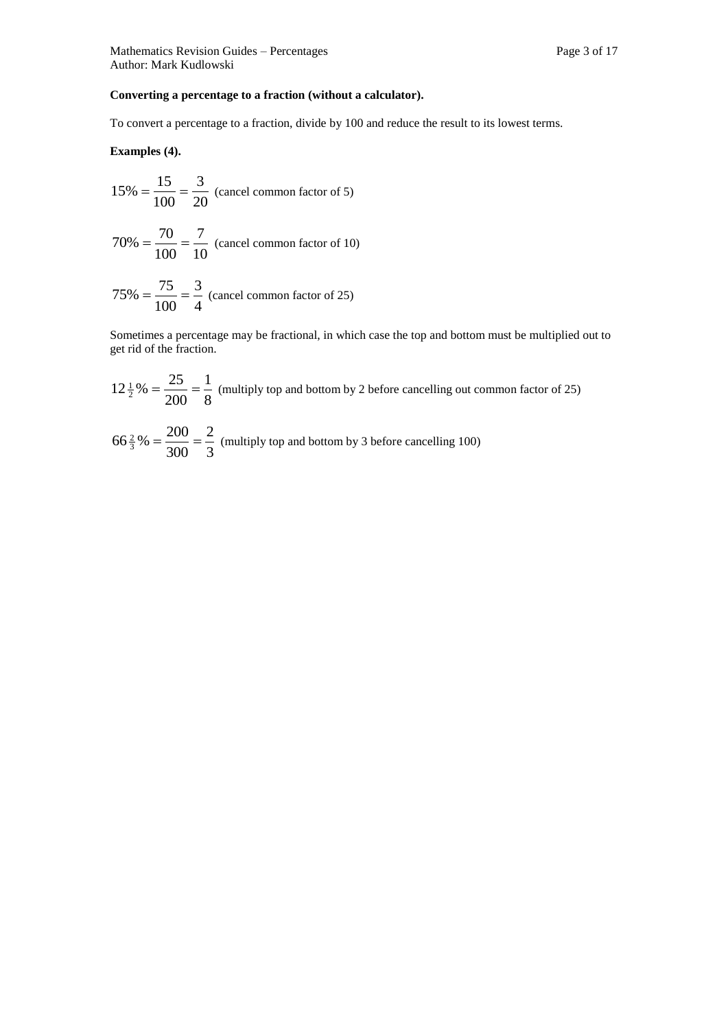### **Converting a percentage to a fraction (without a calculator).**

To convert a percentage to a fraction, divide by 100 and reduce the result to its lowest terms.

**Examples (4).**

$$
15\% = \frac{15}{100} = \frac{3}{20}
$$
 (cancel common factor of 5)

$$
70\% = \frac{70}{100} = \frac{7}{10}
$$
 (cancel common factor of 10)

$$
75\% = \frac{75}{100} = \frac{3}{4}
$$
 (cancel common factor of 25)

Sometimes a percentage may be fractional, in which case the top and bottom must be multiplied out to get rid of the fraction.

$$
12\frac{1}{2}\% = \frac{25}{200} = \frac{1}{8}
$$
 (multiply top and bottom by 2 before cancelling out common factor of 25)

$$
66\frac{2}{3}\% = \frac{200}{300} = \frac{2}{3}
$$
 (multiply top and bottom by 3 before cancelling 100)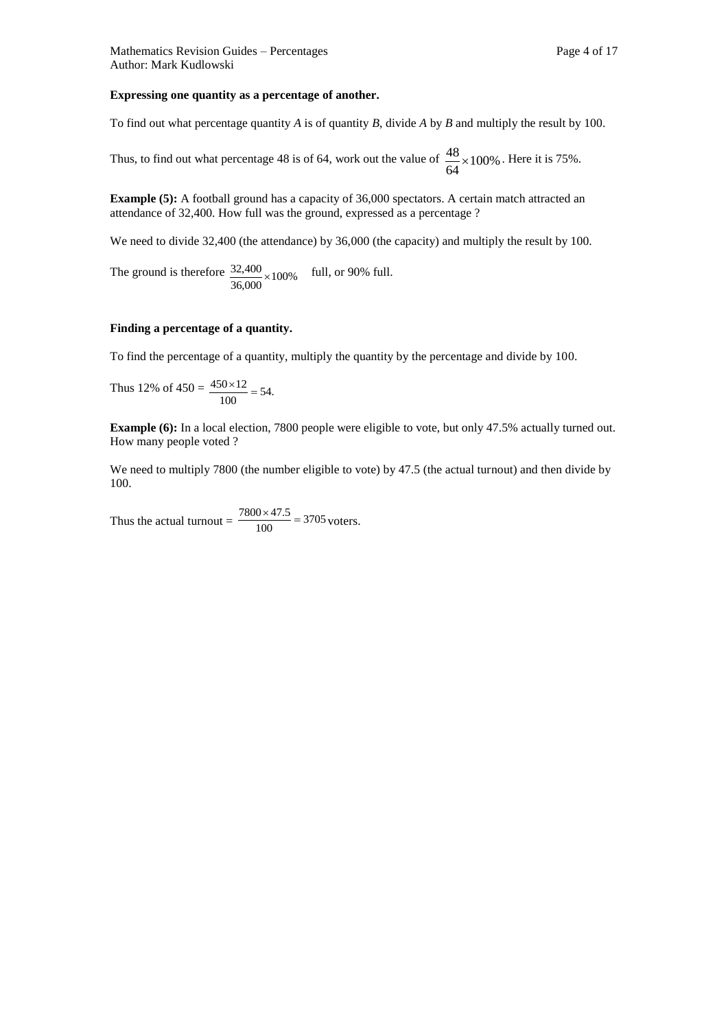#### **Expressing one quantity as a percentage of another.**

To find out what percentage quantity *A* is of quantity *B*, divide *A* by *B* and multiply the result by 100.

Thus, to find out what percentage 48 is of 64, work out the value of  $\frac{48}{10} \times 100\%$ 64  $\frac{48}{100\%}$ . Here it is 75%.

**Example (5):** A football ground has a capacity of 36,000 spectators. A certain match attracted an attendance of 32,400. How full was the ground, expressed as a percentage ?

We need to divide 32,400 (the attendance) by 36,000 (the capacity) and multiply the result by 100.

The ground is therefore  $\frac{32,400}{36,000} \times 100\%$  $\frac{32,400}{20000}$  × 100% full, or 90% full.

#### **Finding a percentage of a quantity.**

To find the percentage of a quantity, multiply the quantity by the percentage and divide by 100.

Thus 12% of  $450 = \frac{450 \times 12}{100} = 54$ .  $\frac{450 \times 12}{100}$  =

**Example (6):** In a local election, 7800 people were eligible to vote, but only 47.5% actually turned out. How many people voted ?

We need to multiply 7800 (the number eligible to vote) by 47.5 (the actual turnout) and then divide by 100.

Thus the actual turnout =  $\frac{7600 \times 47.5}{100}$  = 3705  $\frac{7800 \times 47.5}{100} = 3705$  voters.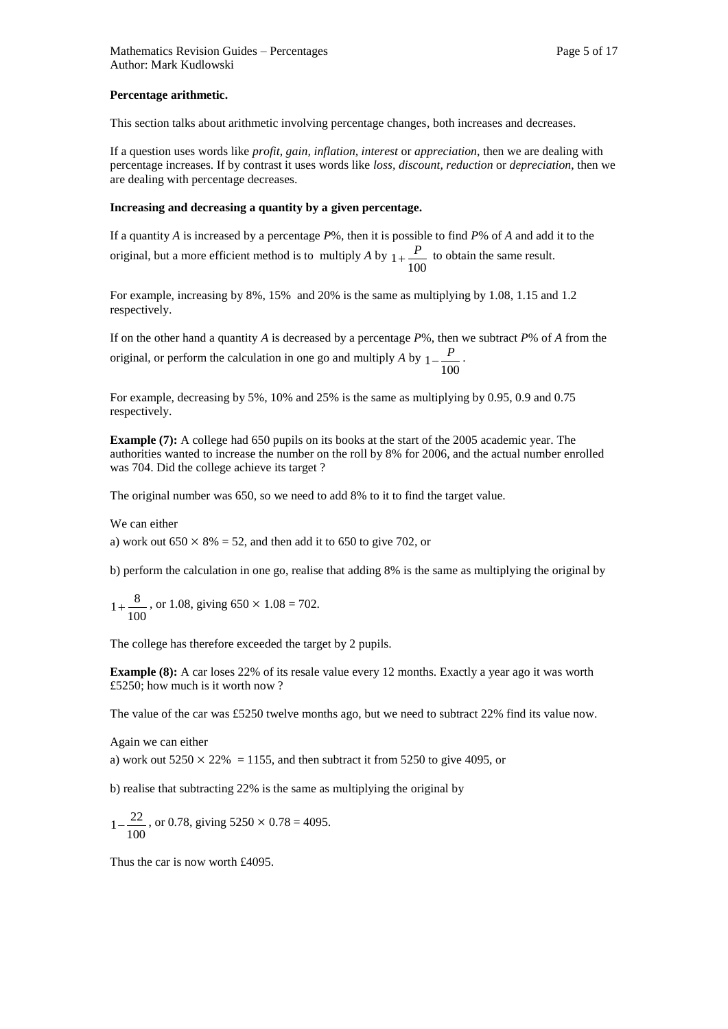#### **Percentage arithmetic.**

This section talks about arithmetic involving percentage changes, both increases and decreases.

If a question uses words like *profit, gain, inflation, interest* or *appreciation*, then we are dealing with percentage increases. If by contrast it uses words like *loss, discount, reduction* or *depreciation*, then we are dealing with percentage decreases.

#### **Increasing and decreasing a quantity by a given percentage.**

If a quantity *A* is increased by a percentage *P*%, then it is possible to find *P*% of *A* and add it to the original, but a more efficient method is to multiply *A* by  $1 + \frac{P}{100}$  to obtain the same result.

For example, increasing by 8%, 15% and 20% is the same as multiplying by 1.08, 1.15 and 1.2 respectively.

If on the other hand a quantity *A* is decreased by a percentage *P*%, then we subtract *P*% of *A* from the original, or perform the calculation in one go and multiply *A* by  $1 - \frac{P}{100}$ 

For example, decreasing by 5%, 10% and 25% is the same as multiplying by 0.95, 0.9 and 0.75 respectively.

**Example (7):** A college had 650 pupils on its books at the start of the 2005 academic year. The authorities wanted to increase the number on the roll by 8% for 2006, and the actual number enrolled was 704. Did the college achieve its target ?

The original number was 650, so we need to add 8% to it to find the target value.

We can either

a) work out  $650 \times 8\% = 52$ , and then add it to 650 to give 702, or

b) perform the calculation in one go, realise that adding 8% is the same as multiplying the original by

100  $1 + \frac{8}{100}$ , or 1.08, giving 650 × 1.08 = 702.

The college has therefore exceeded the target by 2 pupils.

**Example (8):** A car loses 22% of its resale value every 12 months. Exactly a year ago it was worth £5250; how much is it worth now ?

The value of the car was £5250 twelve months ago, but we need to subtract 22% find its value now.

Again we can either

a) work out  $5250 \times 22\% = 1155$ , and then subtract it from 5250 to give 4095, or

b) realise that subtracting 22% is the same as multiplying the original by

$$
1 - \frac{22}{100}
$$
, or 0.78, giving  $5250 \times 0.78 = 4095$ .

Thus the car is now worth £4095.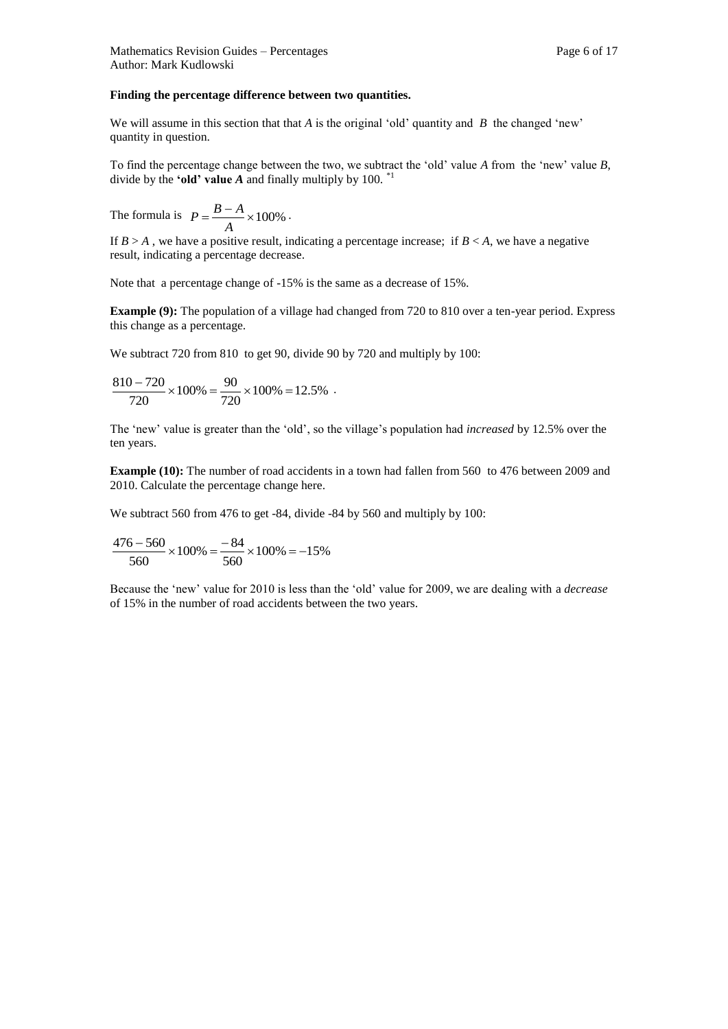#### **Finding the percentage difference between two quantities.**

We will assume in this section that that *A* is the original 'old' quantity and *B* the changed 'new' quantity in question.

To find the percentage change between the two, we subtract the 'old' value *A* from the 'new' value *B*, divide by the **'old' value A** and finally multiply by 100.  $^*$ 

The formula is  $P = \frac{B-A}{A} \times 100\%$ *A*  $P = \frac{B-A}{A} \times 100\%$ .

If  $B > A$ , we have a positive result, indicating a percentage increase; if  $B < A$ , we have a negative result, indicating a percentage decrease.

Note that a percentage change of -15% is the same as a decrease of 15%.

**Example (9):** The population of a village had changed from 720 to 810 over a ten-year period. Express this change as a percentage.

We subtract 720 from 810 to get 90, divide 90 by 720 and multiply by 100:

$$
\frac{810 - 720}{720} \times 100\% = \frac{90}{720} \times 100\% = 12.5\% .
$$

The 'new' value is greater than the 'old', so the village's population had *increased* by 12.5% over the ten years.

**Example (10):** The number of road accidents in a town had fallen from 560 to 476 between 2009 and 2010. Calculate the percentage change here.

We subtract 560 from 476 to get -84, divide -84 by 560 and multiply by 100:

$$
\frac{476 - 560}{560} \times 100\% = \frac{-84}{560} \times 100\% = -15\%
$$

Because the 'new' value for 2010 is less than the 'old' value for 2009, we are dealing with a *decrease*  of 15% in the number of road accidents between the two years.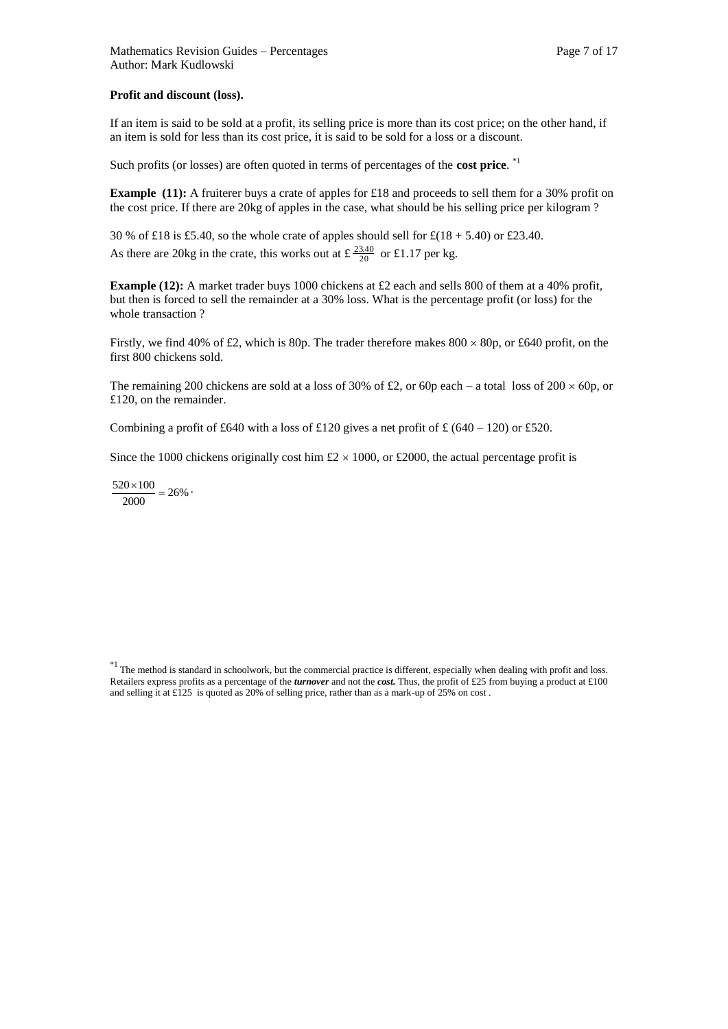#### **Profit and discount (loss).**

If an item is said to be sold at a profit, its selling price is more than its cost price; on the other hand, if an item is sold for less than its cost price, it is said to be sold for a loss or a discount.

Such profits (or losses) are often quoted in terms of percentages of the **cost price**. \*1

**Example (11):** A fruiterer buys a crate of apples for £18 and proceeds to sell them for a 30% profit on the cost price. If there are 20kg of apples in the case, what should be his selling price per kilogram ?

30 % of £18 is £5.40, so the whole crate of apples should sell for  $\text{\textsterling}(18 + 5.40)$  or £23.40. As there are 20kg in the crate, this works out at  $\pm \frac{23.40}{20}$  or £1.17 per kg.

**Example (12):** A market trader buys 1000 chickens at £2 each and sells 800 of them at a 40% profit, but then is forced to sell the remainder at a 30% loss. What is the percentage profit (or loss) for the whole transaction ?

Firstly, we find 40% of £2, which is 80p. The trader therefore makes  $800 \times 80p$ , or £640 profit, on the first 800 chickens sold.

The remaining 200 chickens are sold at a loss of 30% of £2, or 60p each – a total loss of 200  $\times$  60p, or £120, on the remainder.

Combining a profit of £640 with a loss of £120 gives a net profit of £ (640 – 120) or £520.

Since the 1000 chickens originally cost him  $\text{\pounds}2 \times 1000$ , or  $\text{\pounds}2000$ , the actual percentage profit is

 $\frac{20 \times 100}{2000} = 26\%$  $\frac{520 \times 100}{2000} = 26\%$ 

 $*1$  The method is standard in schoolwork, but the commercial practice is different, especially when dealing with profit and loss. Retailers express profits as a percentage of the *turnover* and not the *cost.* Thus, the profit of £25 from buying a product at £100 and selling it at  $\text{\pounds}125$  is quoted as 20% of selling price, rather than as a mark-up of 25% on cost.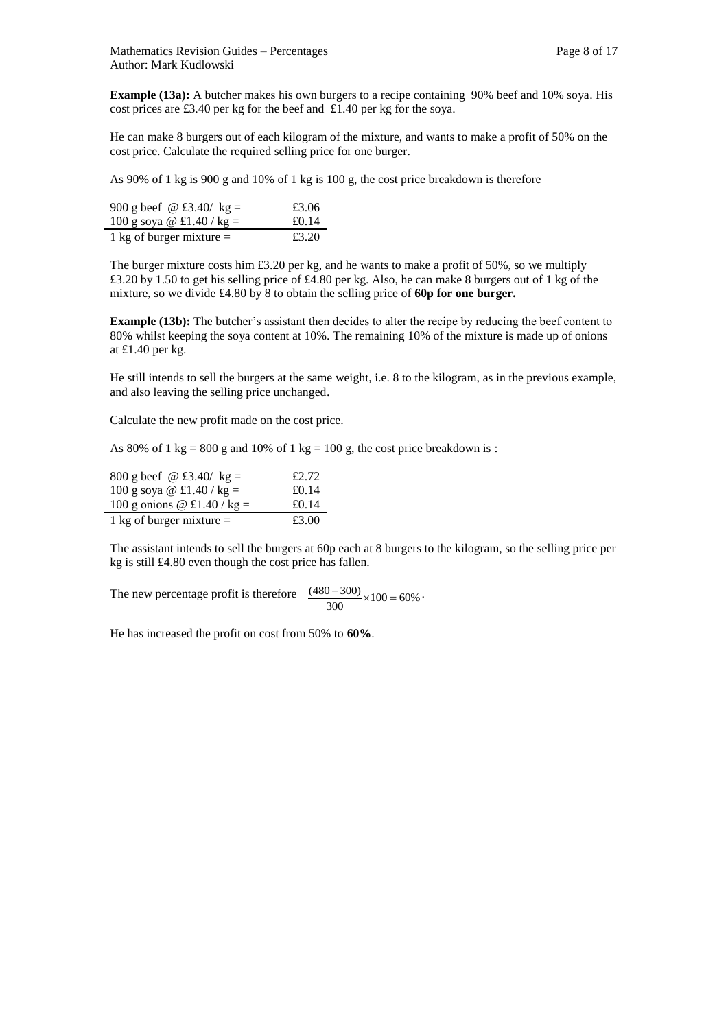**Example (13a):** A butcher makes his own burgers to a recipe containing 90% beef and 10% soya. His cost prices are £3.40 per kg for the beef and £1.40 per kg for the soya.

He can make 8 burgers out of each kilogram of the mixture, and wants to make a profit of 50% on the cost price. Calculate the required selling price for one burger.

As 90% of 1 kg is 900 g and 10% of 1 kg is 100 g, the cost price breakdown is therefore

| 900 g beef @ £3.40/ kg =   | £3.06 |
|----------------------------|-------|
| 100 g soya @ £1.40 / kg =  | £0.14 |
| 1 kg of burger mixture $=$ | £3.20 |

The burger mixture costs him £3.20 per kg, and he wants to make a profit of 50%, so we multiply £3.20 by 1.50 to get his selling price of £4.80 per kg. Also, he can make 8 burgers out of 1 kg of the mixture, so we divide £4.80 by 8 to obtain the selling price of **60p for one burger.** 

**Example (13b):** The butcher's assistant then decides to alter the recipe by reducing the beef content to 80% whilst keeping the soya content at 10%. The remaining 10% of the mixture is made up of onions at £1.40 per kg.

He still intends to sell the burgers at the same weight, i.e. 8 to the kilogram, as in the previous example, and also leaving the selling price unchanged.

Calculate the new profit made on the cost price.

As 80% of 1 kg = 800 g and 10% of 1 kg = 100 g, the cost price breakdown is :

| 800 g beef $\omega$ £3.40/ kg = | £2.72 |
|---------------------------------|-------|
| 100 g soya @ £1.40 / kg =       | £0.14 |
| 100 g onions @ £1.40 / kg =     | £0.14 |
| 1 kg of burger mixture $=$      | £3.00 |

The assistant intends to sell the burgers at 60p each at 8 burgers to the kilogram, so the selling price per kg is still £4.80 even though the cost price has fallen.

The new percentage profit is therefore  $\frac{(480 - 300)}{300} \times 100 = 60\%$  $\frac{(480-300)}{100} \times 100 = 60\%$ 

He has increased the profit on cost from 50% to **60%**.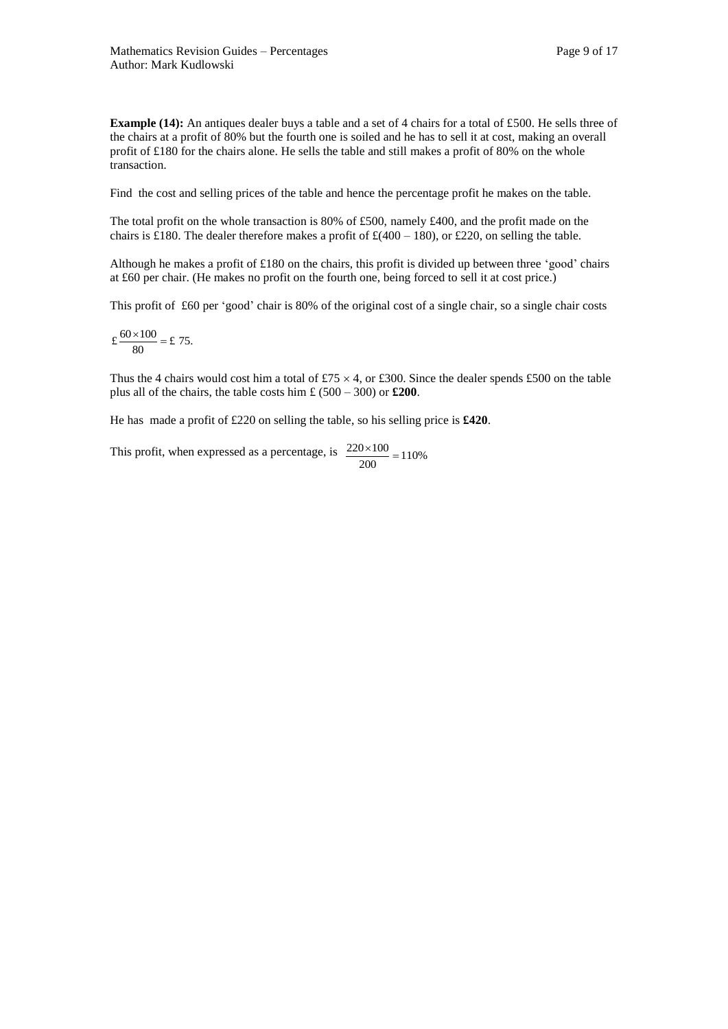**Example (14):** An antiques dealer buys a table and a set of 4 chairs for a total of £500. He sells three of the chairs at a profit of 80% but the fourth one is soiled and he has to sell it at cost, making an overall profit of £180 for the chairs alone. He sells the table and still makes a profit of 80% on the whole transaction.

Find the cost and selling prices of the table and hence the percentage profit he makes on the table.

The total profit on the whole transaction is 80% of £500, namely £400, and the profit made on the chairs is £180. The dealer therefore makes a profit of  $\text{\textsterling} (400 - 180)$ , or £220, on selling the table.

Although he makes a profit of £180 on the chairs, this profit is divided up between three 'good' chairs at £60 per chair. (He makes no profit on the fourth one, being forced to sell it at cost price.)

This profit of £60 per 'good' chair is 80% of the original cost of a single chair, so a single chair costs

$$
\pounds \frac{60 \times 100}{80} = \pounds 75.
$$

Thus the 4 chairs would cost him a total of £75  $\times$  4, or £300. Since the dealer spends £500 on the table plus all of the chairs, the table costs him £ (500 – 300) or **£200**.

He has made a profit of £220 on selling the table, so his selling price is **£420**.

This profit, when expressed as a percentage, is  $\frac{220 \times 100}{200} = 110\%$  $\frac{220 \times 100}{100}$  =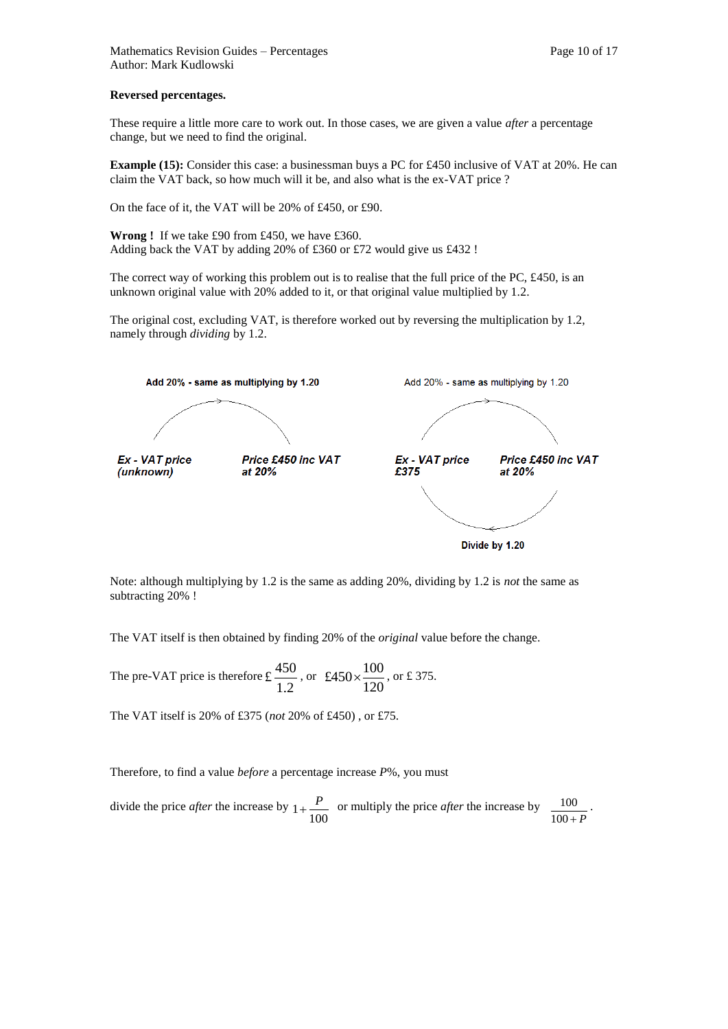#### **Reversed percentages.**

These require a little more care to work out. In those cases, we are given a value *after* a percentage change, but we need to find the original.

**Example (15):** Consider this case: a businessman buys a PC for £450 inclusive of VAT at 20%. He can claim the VAT back, so how much will it be, and also what is the ex-VAT price ?

On the face of it, the VAT will be 20% of £450, or £90.

**Wrong !** If we take £90 from £450, we have £360. Adding back the VAT by adding 20% of £360 or £72 would give us £432 !

The correct way of working this problem out is to realise that the full price of the PC, £450, is an unknown original value with 20% added to it, or that original value multiplied by 1.2.

The original cost, excluding VAT, is therefore worked out by reversing the multiplication by 1.2, namely through *dividing* by 1.2.



Note: although multiplying by 1.2 is the same as adding 20%, dividing by 1.2 is *not* the same as subtracting 20% !

The VAT itself is then obtained by finding 20% of the *original* value before the change.

The pre-VAT price is therefore 1.2 £ $\frac{450}{12}$ , or 120 £450 $\times \frac{100}{100}$ , or £ 375.

The VAT itself is 20% of £375 (*not* 20% of £450) , or £75.

Therefore, to find a value *before* a percentage increase *P*%, you must

divide the price *after* the increase by  $1 + \frac{P}{100}$  or multiply the price *after* the increase by  $100 + P$  $\frac{100}{\ }$ .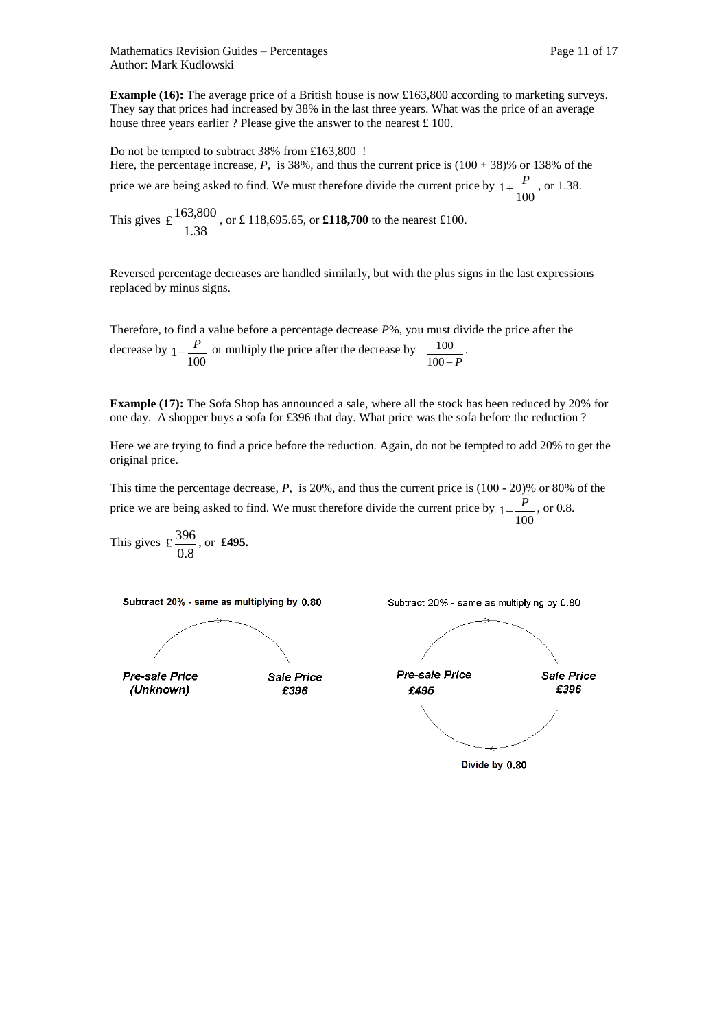Mathematics Revision Guides – Percentages Page 11 of 17 Author: Mark Kudlowski

**Example (16):** The average price of a British house is now £163,800 according to marketing surveys. They say that prices had increased by 38% in the last three years. What was the price of an average house three years earlier ? Please give the answer to the nearest £ 100.

Do not be tempted to subtract 38% from £163,800 ! Here, the percentage increase, *P*, is 38%, and thus the current price is  $(100 + 38)$ % or 138% of the price we are being asked to find. We must therefore divide the current price by  $1 + \frac{P}{100}$ , or 1.38.

This gives 1.38  $\text{\textsterling} \frac{163,800}{1,000}$ , or £ 118,695.65, or **£118,700** to the nearest £100.

Reversed percentage decreases are handled similarly, but with the plus signs in the last expressions replaced by minus signs.

Therefore, to find a value before a percentage decrease *P*%, you must divide the price after the decrease by  $1-\frac{P}{100}$  or multiply the price after the decrease by  $100 - P$  $\frac{100}{100}$ .

**Example (17):** The Sofa Shop has announced a sale, where all the stock has been reduced by 20% for one day. A shopper buys a sofa for £396 that day. What price was the sofa before the reduction ?

Here we are trying to find a price before the reduction. Again, do not be tempted to add 20% to get the original price.

This time the percentage decrease, *P*, is 20%, and thus the current price is (100 - 20)% or 80% of the price we are being asked to find. We must therefore divide the current price by  $1-\frac{P}{100}$ , or 0.8.

This gives 
$$
\pounds \frac{396}{0.8}
$$
, or **£495.**

Subtract 20% - same as multiplying by 0.80



Pre-sale Price (Unknown)



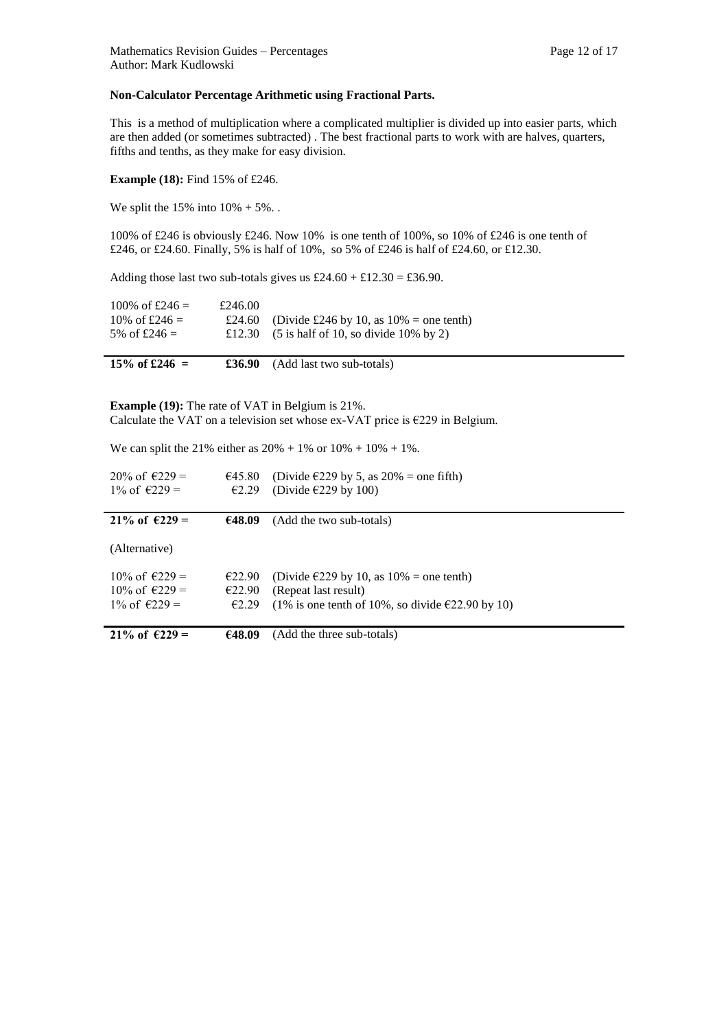#### **Non-Calculator Percentage Arithmetic using Fractional Parts.**

This is a method of multiplication where a complicated multiplier is divided up into easier parts, which are then added (or sometimes subtracted) . The best fractional parts to work with are halves, quarters, fifths and tenths, as they make for easy division.

**Example (18):** Find 15% of £246.

We split the  $15\%$  into  $10\% + 5\%$ .

100% of £246 is obviously £246. Now 10% is one tenth of 100%, so 10% of £246 is one tenth of £246, or £24.60. Finally, 5% is half of 10%, so 5% of £246 is half of £24.60, or £12.30.

Adding those last two sub-totals gives us  $£24.60 + £12.30 = £36.90$ .

| £24.60 (Divide £246 by 10, as $10\%$ = one tenth)                          |
|----------------------------------------------------------------------------|
| £12.30 $(5 \text{ is half of } 10, \text{ so divide } 10\% \text{ by } 2)$ |
| £246.00                                                                    |

**15% of £246**  $=$  **£36.90** (Add last two sub-totals)

**Example (19):** The rate of VAT in Belgium is 21%. Calculate the VAT on a television set whose ex-VAT price is  $\epsilon$ 229 in Belgium.

We can split the 21% either as  $20\% + 1\%$  or  $10\% + 10\% + 1\%$ .

| $20\%$ of $6229 =$<br>$1\%$ of €229 = | €45.80<br>E2.29 | (Divide $\epsilon$ 229 by 5, as 20% = one fifth)<br>(Divide $\epsilon$ 229 by 100) |
|---------------------------------------|-----------------|------------------------------------------------------------------------------------|
| 21\% of $6229 =$                      | €48.09          | (Add the two sub-totals)                                                           |
| (Alternative)                         |                 |                                                                                    |
| $10\% \text{ of } \in 229 =$          | €22.90          | (Divide $\epsilon$ 229 by 10, as 10% = one tenth)                                  |
| $10\% \text{ of } \in 229 =$          | €22.90          | (Repeat last result)                                                               |
| $1\%$ of $\epsilon$ 229 =             | £2.29           | (1% is one tenth of 10%, so divide $\epsilon$ 22.90 by 10)                         |
| 21\% of $6229 =$                      | €48.09          | (Add the three sub-totals)                                                         |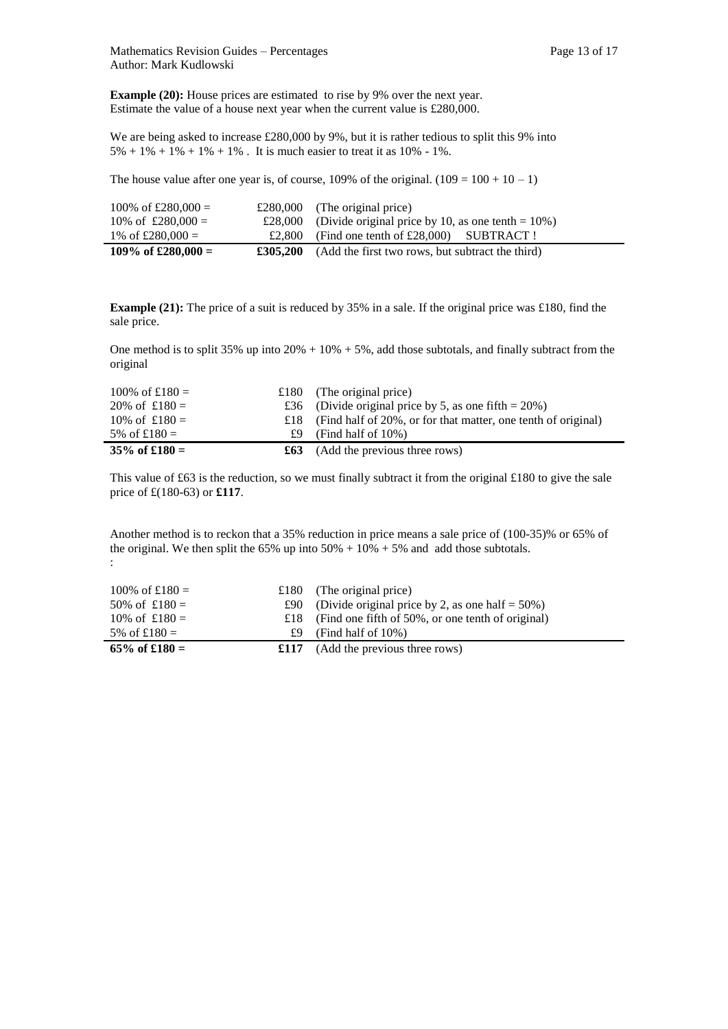$\blacksquare$ 

**Example (20):** House prices are estimated to rise by 9% over the next year. Estimate the value of a house next year when the current value is £280,000.

We are being asked to increase £280,000 by 9%, but it is rather tedious to split this 9% into  $5\% + 1\% + 1\% + 1\% + 1\%$ . It is much easier to treat it as 10% - 1%.

The house value after one year is, of course, 109% of the original.  $(109 = 100 + 10 - 1)$ 

| 100\% of £280,000 = |          | £280,000 (The original price)                                 |
|---------------------|----------|---------------------------------------------------------------|
| 10\% of £280,000 =  |          | £28,000 (Divide original price by 10, as one tenth = $10\%$ ) |
| 1\% of £280,000 =   | £2.800   | (Find one tenth of $£28,000$ ) SUBTRACT!                      |
| 109\% of £280,000 = | £305,200 | (Add the first two rows, but subtract the third)              |

**Example (21):** The price of a suit is reduced by 35% in a sale. If the original price was £180, find the sale price.

One method is to split 35% up into  $20\% + 10\% + 5\%$ , add those subtotals, and finally subtract from the original

| 100\% of £180 =  |     | £180 (The original price)                                         |
|------------------|-----|-------------------------------------------------------------------|
| 20\% of $£180 =$ |     | £36 (Divide original price by 5, as one fifth = $20\%$ )          |
| 10\% of $£180 =$ |     | £18 (Find half of 20%, or for that matter, one tenth of original) |
| 5\% of £180 =    | £9. | (Find half of $10\%$ )                                            |
| $35\%$ of £180 = |     | $\pounds 63$ (Add the previous three rows)                        |

This value of £63 is the reduction, so we must finally subtract it from the original £180 to give the sale price of £(180-63) or **£117**.

Another method is to reckon that a 35% reduction in price means a sale price of (100-35)% or 65% of the original. We then split the  $65\%$  up into  $50\% + 10\% + 5\%$  and add those subtotals. :

| 100\% of £180 =  |     | £180 (The original price)                               |
|------------------|-----|---------------------------------------------------------|
| 50\% of £180 =   |     | £90 (Divide original price by 2, as one half = $50\%$ ) |
| 10\% of $£180 =$ |     | £18 (Find one fifth of 50%, or one tenth of original)   |
| 5% of £180 =     | £9. | (Find half of $10\%$ )                                  |
| 65\% of £180 =   |     | $\pounds117$ (Add the previous three rows)              |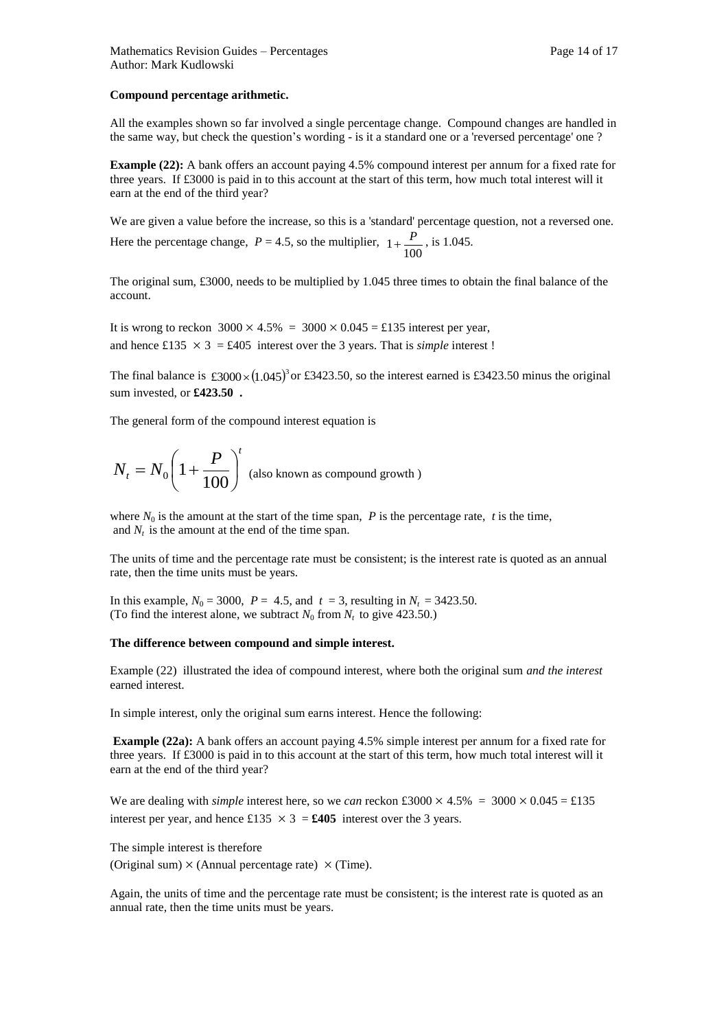#### **Compound percentage arithmetic.**

All the examples shown so far involved a single percentage change. Compound changes are handled in the same way, but check the question's wording - is it a standard one or a 'reversed percentage' one ?

**Example (22):** A bank offers an account paying 4.5% compound interest per annum for a fixed rate for three years. If £3000 is paid in to this account at the start of this term, how much total interest will it earn at the end of the third year?

We are given a value before the increase, so this is a 'standard' percentage question, not a reversed one. Here the percentage change,  $P = 4.5$ , so the multiplier,  $1 + \frac{P}{100}$ , is 1.045.

The original sum, £3000, needs to be multiplied by 1.045 three times to obtain the final balance of the account.

It is wrong to reckon  $3000 \times 4.5\% = 3000 \times 0.045 = \text{\textsterling}135$  interest per year, and hence £135  $\times$  3 = £405 interest over the 3 years. That is *simple* interest !

The final balance is £3000 $\times$ (1.045)<sup>3</sup> or £3423.50, so the interest earned is £3423.50 minus the original sum invested, or **£423.50 .**

The general form of the compound interest equation is

$$
N_t = N_0 \left( 1 + \frac{P}{100} \right)^t
$$
 (also known as compound growth)

where  $N_0$  is the amount at the start of the time span,  $P$  is the percentage rate,  $t$  is the time, and  $N_t$  is the amount at the end of the time span.

The units of time and the percentage rate must be consistent; is the interest rate is quoted as an annual rate, then the time units must be years.

In this example,  $N_0 = 3000$ ,  $P = 4.5$ , and  $t = 3$ , resulting in  $N_t = 3423.50$ . (To find the interest alone, we subtract  $N_0$  from  $N_t$  to give 423.50.)

#### **The difference between compound and simple interest.**

Example (22) illustrated the idea of compound interest, where both the original sum *and the interest*  earned interest.

In simple interest, only the original sum earns interest. Hence the following:

**Example (22a):** A bank offers an account paying 4.5% simple interest per annum for a fixed rate for three years. If £3000 is paid in to this account at the start of this term, how much total interest will it earn at the end of the third year?

We are dealing with *simple* interest here, so we *can* reckon £3000  $\times$  4.5% = 3000  $\times$  0.045 = £135 interest per year, and hence £135  $\times$  3 = **£405** interest over the 3 years.

The simple interest is therefore

(Original sum)  $\times$  (Annual percentage rate)  $\times$  (Time).

Again, the units of time and the percentage rate must be consistent; is the interest rate is quoted as an annual rate, then the time units must be years.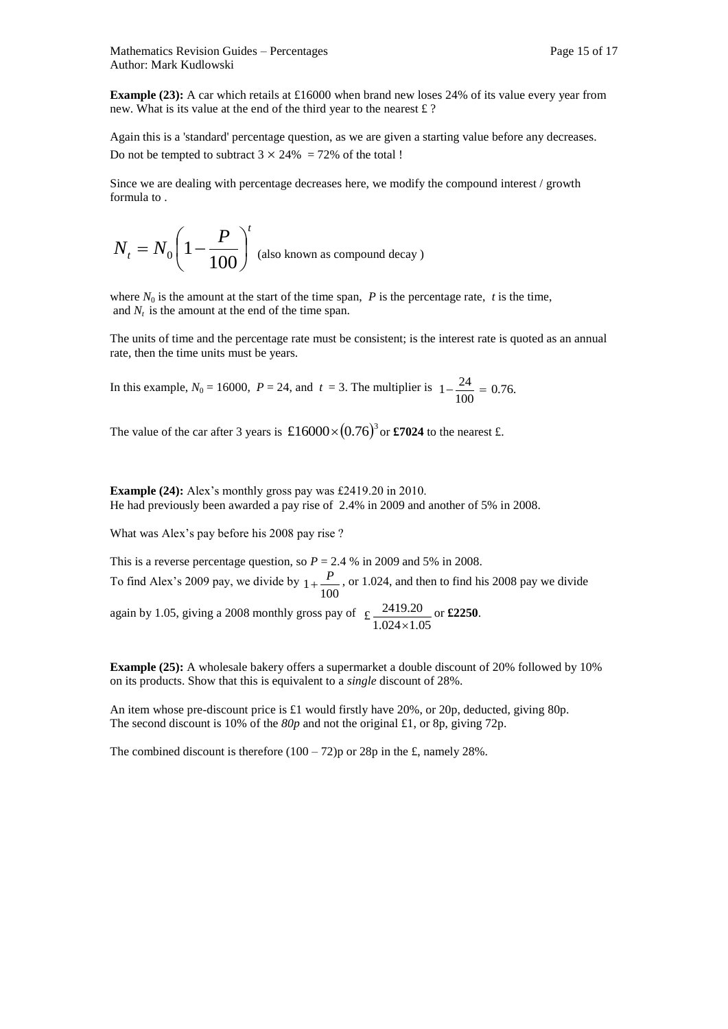**Example (23):** A car which retails at £16000 when brand new loses 24% of its value every year from new. What is its value at the end of the third year to the nearest £ ?

Again this is a 'standard' percentage question, as we are given a starting value before any decreases. Do not be tempted to subtract  $3 \times 24\% = 72\%$  of the total !

Since we are dealing with percentage decreases here, we modify the compound interest / growth formula to .

$$
N_t = N_0 \left(1 - \frac{P}{100}\right)^t
$$
 (also known as compound decay)

where  $N_0$  is the amount at the start of the time span,  $P$  is the percentage rate,  $t$  is the time, and  $N_t$  is the amount at the end of the time span.

The units of time and the percentage rate must be consistent; is the interest rate is quoted as an annual rate, then the time units must be years.

In this example,  $N_0 = 16000$ ,  $P = 24$ , and  $t = 3$ . The multiplier is  $1 - \frac{24}{100} = 0.76$ .

The value of the car after 3 years is  $\pounds16000 \times (0.76)^3$  or **£7024** to the nearest £.

**Example (24):** Alex's monthly gross pay was £2419.20 in 2010. He had previously been awarded a pay rise of 2.4% in 2009 and another of 5% in 2008.

What was Alex's pay before his 2008 pay rise ?

This is a reverse percentage question, so  $P = 2.4$  % in 2009 and 5% in 2008. To find Alex's 2009 pay, we divide by  $1 + \frac{P}{100}$ , or 1.024, and then to find his 2008 pay we divide again by 1.05, giving a 2008 monthly gross pay of £ $\frac{2419.20}{1.024 \times 1.05}$ or **£2250**.

**Example (25):** A wholesale bakery offers a supermarket a double discount of 20% followed by 10% on its products. Show that this is equivalent to a *single* discount of 28%.

An item whose pre-discount price is £1 would firstly have 20%, or 20p, deducted, giving 80p. The second discount is 10% of the *80p* and not the original £1, or 8p, giving 72p.

The combined discount is therefore  $(100 - 72)p$  or 28p in the £, namely 28%.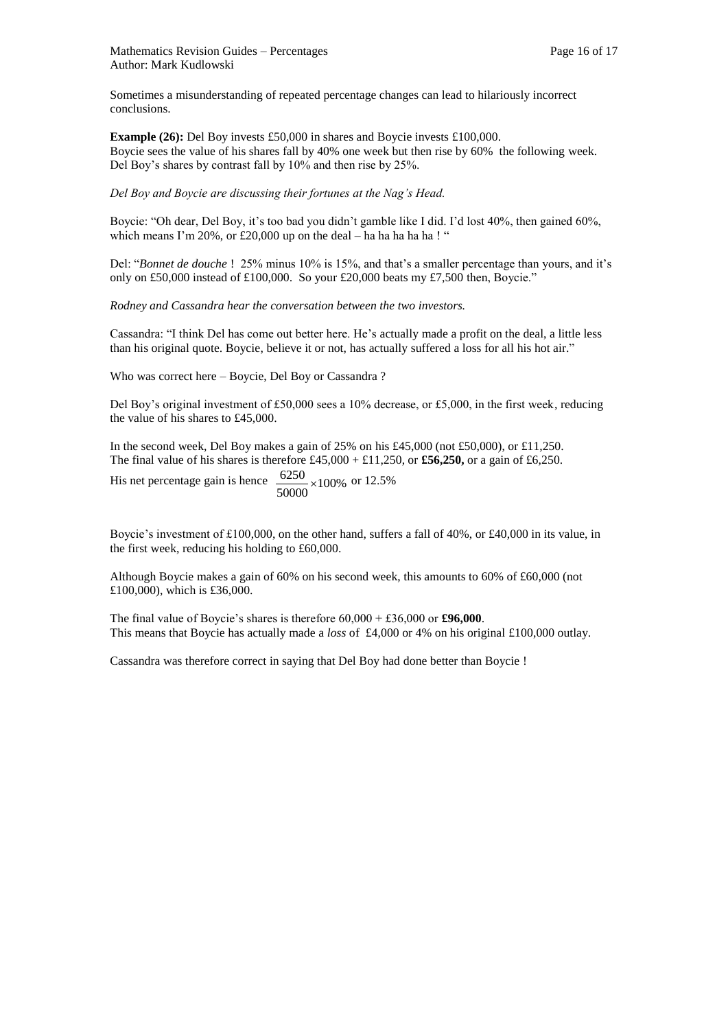Sometimes a misunderstanding of repeated percentage changes can lead to hilariously incorrect conclusions.

**Example (26):** Del Boy invests £50,000 in shares and Boycie invests £100,000. Boycie sees the value of his shares fall by 40% one week but then rise by 60% the following week. Del Boy's shares by contrast fall by 10% and then rise by 25%.

*Del Boy and Boycie are discussing their fortunes at the Nag's Head.*

Boycie: "Oh dear, Del Boy, it's too bad you didn't gamble like I did. I'd lost 40%, then gained 60%, which means I'm  $20\%$ , or  $\text{\pounds}20,000$  up on the deal – ha ha ha ha ha ! "

Del: "*Bonnet de douche* ! 25% minus 10% is 15%, and that's a smaller percentage than yours, and it's only on £50,000 instead of £100,000. So your £20,000 beats my £7,500 then, Boycie."

*Rodney and Cassandra hear the conversation between the two investors.* 

Cassandra: "I think Del has come out better here. He's actually made a profit on the deal, a little less than his original quote. Boycie, believe it or not, has actually suffered a loss for all his hot air."

Who was correct here – Boycie, Del Boy or Cassandra ?

Del Boy's original investment of £50,000 sees a 10% decrease, or £5,000, in the first week, reducing the value of his shares to £45,000.

In the second week, Del Boy makes a gain of 25% on his £45,000 (not £50,000), or £11,250. The final value of his shares is therefore £45,000 + £11,250, or **£56,250,** or a gain of £6,250.

His net percentage gain is hence  $\frac{0250}{50000} \times 100\%$  $\frac{6250}{20000} \times 100\%$  or 12.5%

Boycie's investment of £100,000, on the other hand, suffers a fall of 40%, or £40,000 in its value, in the first week, reducing his holding to £60,000.

Although Boycie makes a gain of 60% on his second week, this amounts to 60% of £60,000 (not £100,000), which is £36,000.

The final value of Boycie's shares is therefore 60,000 + £36,000 or **£96,000**. This means that Boycie has actually made a *loss* of £4,000 or 4% on his original £100,000 outlay.

Cassandra was therefore correct in saying that Del Boy had done better than Boycie !